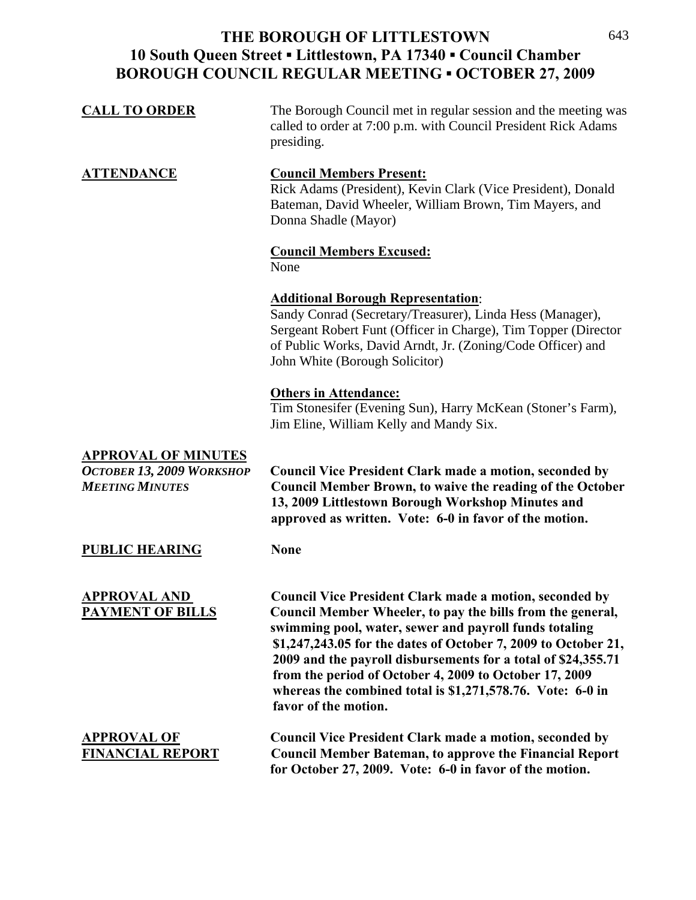| <b>CALL TO ORDER</b>                                                              | The Borough Council met in regular session and the meeting was<br>called to order at 7:00 p.m. with Council President Rick Adams<br>presiding.                                                                                                                                                                                                                                                                                                                            |
|-----------------------------------------------------------------------------------|---------------------------------------------------------------------------------------------------------------------------------------------------------------------------------------------------------------------------------------------------------------------------------------------------------------------------------------------------------------------------------------------------------------------------------------------------------------------------|
| <u>ATTENDANCE</u>                                                                 | <b>Council Members Present:</b><br>Rick Adams (President), Kevin Clark (Vice President), Donald<br>Bateman, David Wheeler, William Brown, Tim Mayers, and<br>Donna Shadle (Mayor)                                                                                                                                                                                                                                                                                         |
|                                                                                   | <b>Council Members Excused:</b><br>None                                                                                                                                                                                                                                                                                                                                                                                                                                   |
|                                                                                   | <b>Additional Borough Representation:</b><br>Sandy Conrad (Secretary/Treasurer), Linda Hess (Manager),<br>Sergeant Robert Funt (Officer in Charge), Tim Topper (Director<br>of Public Works, David Arndt, Jr. (Zoning/Code Officer) and<br>John White (Borough Solicitor)                                                                                                                                                                                                 |
|                                                                                   | <b>Others in Attendance:</b><br>Tim Stonesifer (Evening Sun), Harry McKean (Stoner's Farm),<br>Jim Eline, William Kelly and Mandy Six.                                                                                                                                                                                                                                                                                                                                    |
| <b>APPROVAL OF MINUTES</b><br>OCTOBER 13, 2009 WORKSHOP<br><b>MEETING MINUTES</b> | <b>Council Vice President Clark made a motion, seconded by</b><br><b>Council Member Brown, to waive the reading of the October</b><br>13, 2009 Littlestown Borough Workshop Minutes and<br>approved as written. Vote: 6-0 in favor of the motion.                                                                                                                                                                                                                         |
| <b>PUBLIC HEARING</b>                                                             | <b>None</b>                                                                                                                                                                                                                                                                                                                                                                                                                                                               |
| <u>APPROVAL AND</u><br><b>PAYMENT OF BILLS</b>                                    | <b>Council Vice President Clark made a motion, seconded by</b><br>Council Member Wheeler, to pay the bills from the general,<br>swimming pool, water, sewer and payroll funds totaling<br>\$1,247,243.05 for the dates of October 7, 2009 to October 21,<br>2009 and the payroll disbursements for a total of \$24,355.71<br>from the period of October 4, 2009 to October 17, 2009<br>whereas the combined total is \$1,271,578.76. Vote: 6-0 in<br>favor of the motion. |
| <b>APPROVAL OF</b><br><b>FINANCIAL REPORT</b>                                     | <b>Council Vice President Clark made a motion, seconded by</b><br><b>Council Member Bateman, to approve the Financial Report</b><br>for October 27, 2009. Vote: 6-0 in favor of the motion.                                                                                                                                                                                                                                                                               |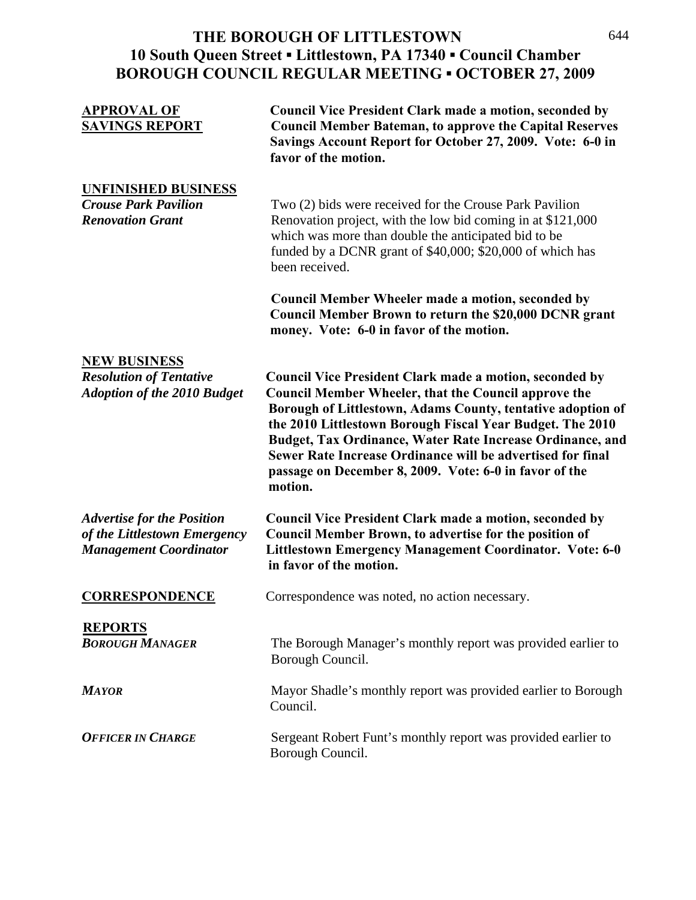| <u>APPROVAL OF</u><br><b>SAVINGS REPORT</b>                                                        | <b>Council Vice President Clark made a motion, seconded by</b><br><b>Council Member Bateman, to approve the Capital Reserves</b><br>Savings Account Report for October 27, 2009. Vote: 6-0 in<br>favor of the motion.                                                                                                                                                                                                                                     |  |
|----------------------------------------------------------------------------------------------------|-----------------------------------------------------------------------------------------------------------------------------------------------------------------------------------------------------------------------------------------------------------------------------------------------------------------------------------------------------------------------------------------------------------------------------------------------------------|--|
| <b>UNFINISHED BUSINESS</b><br><b>Crouse Park Pavilion</b><br><b>Renovation Grant</b>               | Two (2) bids were received for the Crouse Park Pavilion<br>Renovation project, with the low bid coming in at \$121,000<br>which was more than double the anticipated bid to be<br>funded by a DCNR grant of \$40,000; \$20,000 of which has<br>been received.                                                                                                                                                                                             |  |
|                                                                                                    | <b>Council Member Wheeler made a motion, seconded by</b><br>Council Member Brown to return the \$20,000 DCNR grant<br>money. Vote: 6-0 in favor of the motion.                                                                                                                                                                                                                                                                                            |  |
| <b>NEW BUSINESS</b><br><b>Resolution of Tentative</b><br><b>Adoption of the 2010 Budget</b>        | <b>Council Vice President Clark made a motion, seconded by</b><br><b>Council Member Wheeler, that the Council approve the</b><br>Borough of Littlestown, Adams County, tentative adoption of<br>the 2010 Littlestown Borough Fiscal Year Budget. The 2010<br>Budget, Tax Ordinance, Water Rate Increase Ordinance, and<br>Sewer Rate Increase Ordinance will be advertised for final<br>passage on December 8, 2009. Vote: 6-0 in favor of the<br>motion. |  |
| <b>Advertise for the Position</b><br>of the Littlestown Emergency<br><b>Management Coordinator</b> | <b>Council Vice President Clark made a motion, seconded by</b><br><b>Council Member Brown, to advertise for the position of</b><br>Littlestown Emergency Management Coordinator. Vote: 6-0<br>in favor of the motion.                                                                                                                                                                                                                                     |  |
| <b>CORRESPONDENCE</b>                                                                              | Correspondence was noted, no action necessary.                                                                                                                                                                                                                                                                                                                                                                                                            |  |
| <b>REPORTS</b><br><b>BOROUGH MANAGER</b>                                                           | The Borough Manager's monthly report was provided earlier to<br>Borough Council.                                                                                                                                                                                                                                                                                                                                                                          |  |
| <b>MAYOR</b>                                                                                       | Mayor Shadle's monthly report was provided earlier to Borough<br>Council.                                                                                                                                                                                                                                                                                                                                                                                 |  |
| <b>OFFICER IN CHARGE</b>                                                                           | Sergeant Robert Funt's monthly report was provided earlier to<br>Borough Council.                                                                                                                                                                                                                                                                                                                                                                         |  |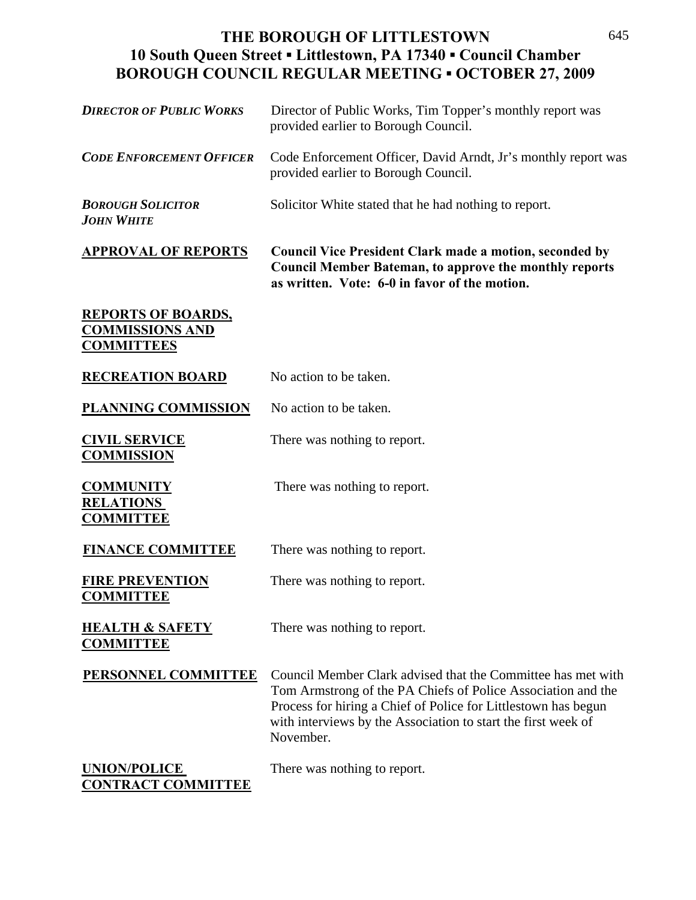| <b>DIRECTOR OF PUBLIC WORKS</b>                                          | Director of Public Works, Tim Topper's monthly report was<br>provided earlier to Borough Council.                                                                                |
|--------------------------------------------------------------------------|----------------------------------------------------------------------------------------------------------------------------------------------------------------------------------|
| <b>CODE ENFORCEMENT OFFICER</b>                                          | Code Enforcement Officer, David Arndt, Jr's monthly report was<br>provided earlier to Borough Council.                                                                           |
| <b>BOROUGH SOLICITOR</b><br><b>JOHN WHITE</b>                            | Solicitor White stated that he had nothing to report.                                                                                                                            |
| <b>APPROVAL OF REPORTS</b>                                               | <b>Council Vice President Clark made a motion, seconded by</b><br><b>Council Member Bateman, to approve the monthly reports</b><br>as written. Vote: 6-0 in favor of the motion. |
| <b>REPORTS OF BOARDS,</b><br><b>COMMISSIONS AND</b><br><b>COMMITTEES</b> |                                                                                                                                                                                  |
| <b>RECREATION BOARD</b>                                                  | No action to be taken.                                                                                                                                                           |
| <b>PLANNING COMMISSION</b>                                               | No action to be taken.                                                                                                                                                           |
| <b>CIVIL SERVICE</b><br><b>COMMISSION</b>                                | There was nothing to report.                                                                                                                                                     |
| <b>COMMUNITY</b><br><b>RELATIONS</b><br><b>COMMITTEE</b>                 | There was nothing to report.                                                                                                                                                     |
| <b>FINANCE COMMITTEE</b>                                                 | There was nothing to report.                                                                                                                                                     |
| <b>FIRE PREVENTION</b><br><b>COMMITTEE</b>                               | There was nothing to report.                                                                                                                                                     |
| <b>HEALTH &amp; SAFETY</b><br><b>COMMITTEE</b>                           | There was nothing to report.                                                                                                                                                     |

**PERSONNEL COMMITTEE** Council Member Clark advised that the Committee has met with Tom Armstrong of the PA Chiefs of Police Association and the Process for hiring a Chief of Police for Littlestown has begun with interviews by the Association to start the first week of November.

UNION/POLICE There was nothing to report.

**CONTRACT COMMITTEE**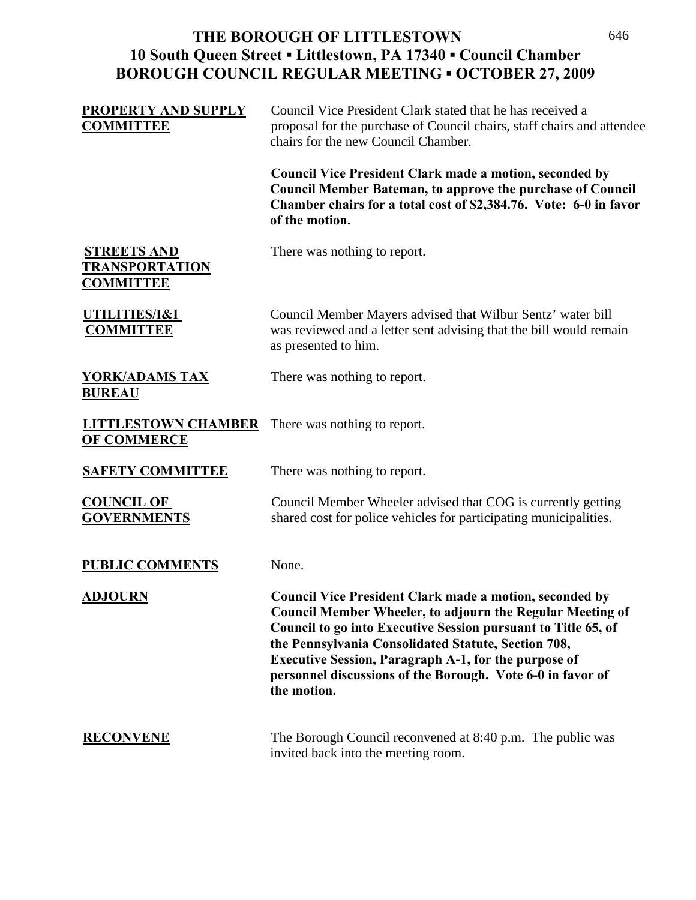proposal for the purchase of Council chairs, staff chairs and attendee

**PROPERTY AND SUPPLY** Council Vice President Clark stated that he has received a<br>
commutative proposal for the purchase of Council chairs, staff chairs and

|                                                                 | chairs for the new Council Chamber.                                                                                                                                                                                                                                                                                                                                                                    |
|-----------------------------------------------------------------|--------------------------------------------------------------------------------------------------------------------------------------------------------------------------------------------------------------------------------------------------------------------------------------------------------------------------------------------------------------------------------------------------------|
|                                                                 | <b>Council Vice President Clark made a motion, seconded by</b><br><b>Council Member Bateman, to approve the purchase of Council</b><br>Chamber chairs for a total cost of \$2,384.76. Vote: 6-0 in favor<br>of the motion.                                                                                                                                                                             |
| <b>STREETS AND</b><br><b>TRANSPORTATION</b><br><b>COMMITTEE</b> | There was nothing to report.                                                                                                                                                                                                                                                                                                                                                                           |
| UTILITIES/I&I<br><b>COMMITTEE</b>                               | Council Member Mayers advised that Wilbur Sentz' water bill<br>was reviewed and a letter sent advising that the bill would remain<br>as presented to him.                                                                                                                                                                                                                                              |
| <b>YORK/ADAMS TAX</b><br><b>BUREAU</b>                          | There was nothing to report.                                                                                                                                                                                                                                                                                                                                                                           |
| <b>LITTLESTOWN CHAMBER</b><br><b>OF COMMERCE</b>                | There was nothing to report.                                                                                                                                                                                                                                                                                                                                                                           |
| <b>SAFETY COMMITTEE</b>                                         | There was nothing to report.                                                                                                                                                                                                                                                                                                                                                                           |
| <b>COUNCIL OF</b><br><b>GOVERNMENTS</b>                         | Council Member Wheeler advised that COG is currently getting<br>shared cost for police vehicles for participating municipalities.                                                                                                                                                                                                                                                                      |
| <b>PUBLIC COMMENTS</b>                                          | None.                                                                                                                                                                                                                                                                                                                                                                                                  |
| <b>ADJOURN</b>                                                  | <b>Council Vice President Clark made a motion, seconded by</b><br><b>Council Member Wheeler, to adjourn the Regular Meeting of</b><br>Council to go into Executive Session pursuant to Title 65, of<br>the Pennsylvania Consolidated Statute, Section 708,<br><b>Executive Session, Paragraph A-1, for the purpose of</b><br>personnel discussions of the Borough. Vote 6-0 in favor of<br>the motion. |
| <b>RECONVENE</b>                                                | The Borough Council reconvened at 8:40 p.m. The public was<br>invited back into the meeting room.                                                                                                                                                                                                                                                                                                      |